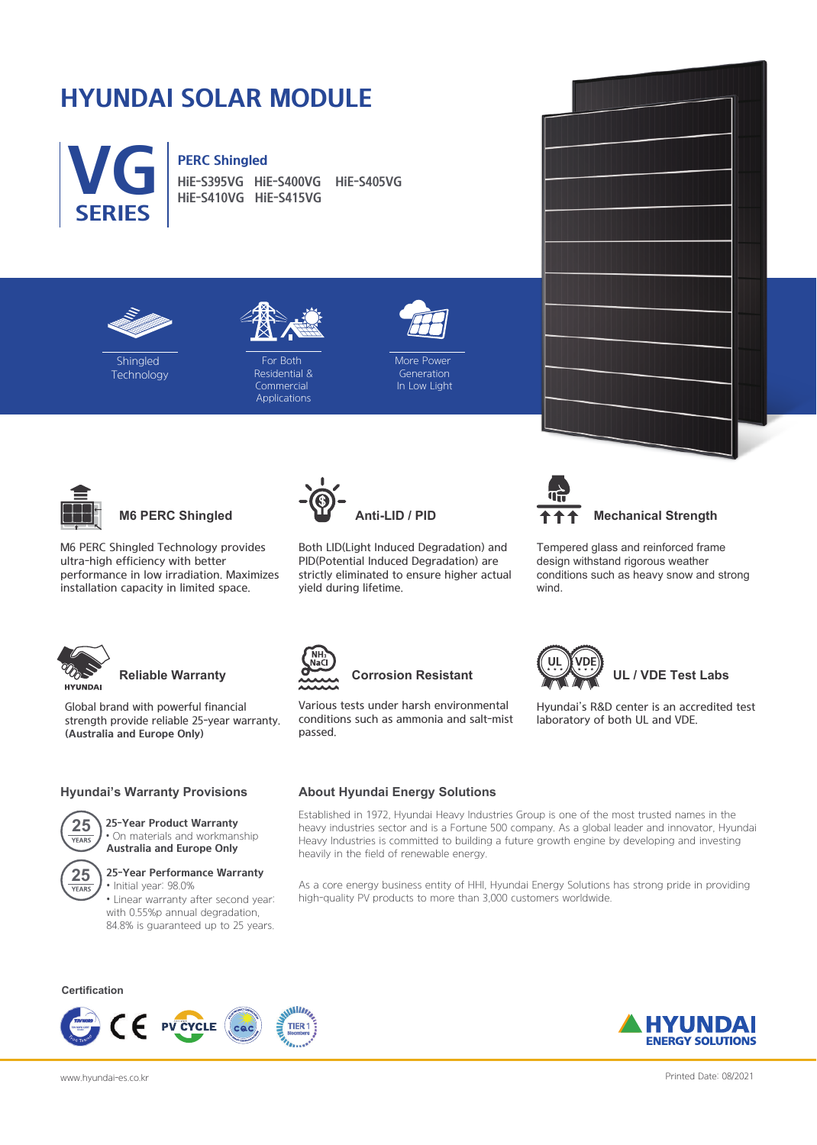# **HYUNDAI SOLAR MODULE**

**VG PERC Shingled**<br>HiE-S395VG Hi **SERIES**

**HiE-S395VG HiE-S400VG HiE-S405VG HiE-S410VG HiE-S415VG**





**Shingled Technology** 

For Both Residential & **Commercial** Applications



**More Power** Generation In Low Light



**M6 PERC Shingled**

M6 PERC Shingled Technology provides ultra-high efficiency with better performance in low irradiation. Maximizes installation capacity in limited space.



Both LID(Light Induced Degradation) and PID(Potential Induced Degradation) are strictly eliminated to ensure higher actual yield during lifetime.





Tempered glass and reinforced frame design withstand rigorous weather conditions such as heavy snow and strong wind.

Hyundai's R&D center is an accredited test

 **UL / VDE Test Labs**

laboratory of both UL and VDE.



## **Reliable Warranty**

Global brand with powerful financial strength provide reliable 25-year warranty. **(Australia and Europe Only)**

### **Hyundai's Warranty Provisions**



### **25-Year Product Warranty** • On materials and workmanship **Australia and Europe Only**



## **25-Year Performance Warranty**

• Initial year: 98.0% • Linear warranty after second year: with 0.55%p annual degradation, 84.8% is guaranteed up to 25 years.

### **Certification**







# passed.

Various tests under harsh environmental conditions such as ammonia and salt-mist

**Corrosion Resistant**

### **About Hyundai Energy Solutions**

Established in 1972, Hyundai Heavy Industries Group is one of the most trusted names in the heavy industries sector and is a Fortune 500 company. As a global leader and innovator, Hyundai Heavy Industries is committed to building a future growth engine by developing and investing heavily in the field of renewable energy.

As a core energy business entity of HHI, Hyundai Energy Solutions has strong pride in providing high-quality PV products to more than 3,000 customers worldwide.